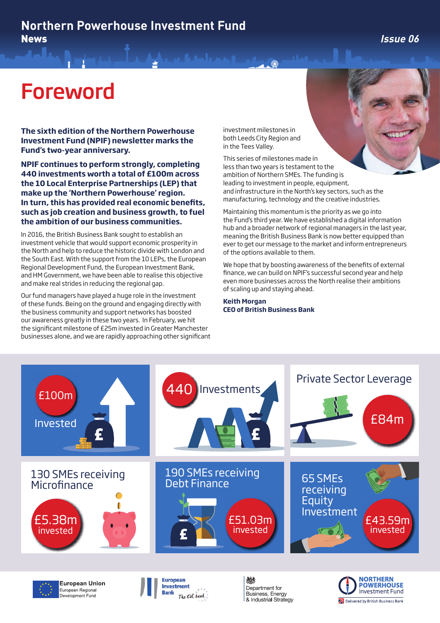### **Northern Powerhouse Investment Fund**  News **Issue 06**

## Foreword

**The sixth edition of the Northern Powerhouse Investment Fund (NPIF) newsletter marks the Fund's two-year anniversary.** 

**NPIF continues to perform strongly, completing 440 investments worth a total of £100m across the 10 Local Enterprise Partnerships (LEP) that make up the 'Northern Powerhouse' region. In turn, this has provided real economic benefits, such as job creation and business growth, to fuel the ambition of our business communities.**

In 2016, the British Business Bank sought to establish an investment vehicle that would support economic prosperity in the North and help to reduce the historic divide with London and the South East. With the support from the 10 LEPs, the European Regional Development Fund, the European Investment Bank, and HM Government, we have been able to realise this objective and make real strides in reducing the regional gap.

Our fund managers have played a huge role in the investment of these funds. Being on the ground and engaging directly with the business community and support networks has boosted our awareness greatly in these two years. In February, we hit the significant milestone of £25m invested in Greater Manchester businesses alone, and we are rapidly approaching other significant investment milestones in both Leeds City Region and in the Tees Valley.

This series of milestones made in less than two years is testament to the ambition of Northern SMEs. The funding is leading to investment in people, equipment, and infrastructure in the North's key sectors, such as the manufacturing, technology and the creative industries.

Maintaining this momentum is the priority as we go into the Fund's third year. We have established a digital information hub and a broader network of regional managers in the last year, meaning the British Business Bank is now better equipped than ever to get our message to the market and inform entrepreneurs of the options available to them.

We hope that by boosting awareness of the benefits of external finance, we can build on NPIF's successful second year and help even more businesses across the North realise their ambitions of scaling up and staying ahead.

**Keith Morgan CEO of British Business Bank**







燃 Department for Business, Energy & Industrial Strategy

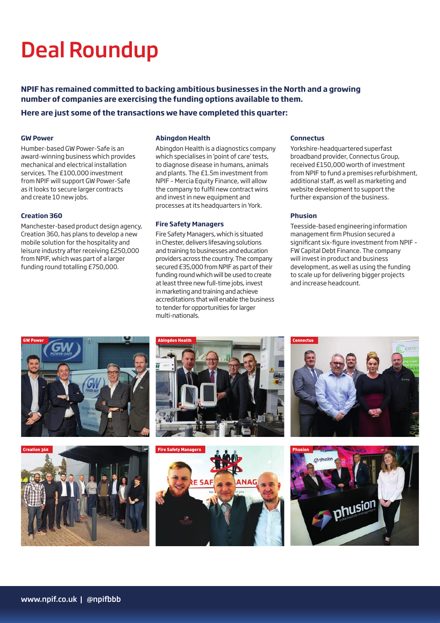# Deal Roundup

**NPIF has remained committed to backing ambitious businesses in the North and a growing number of companies are exercising the funding options available to them.**

### **Here are just some of the transactions we have completed this quarter:**

#### **GW Power**

Humber-based GW Power-Safe is an award-winning business which provides mechanical and electrical installation services. The £100,000 investment from NPIF will support GW Power-Safe as it looks to secure larger contracts and create 10 new jobs.

#### **Creation 360**

Manchester-based product design agency, Creation 360, has plans to develop a new mobile solution for the hospitality and leisure industry after receiving £250,000 from NPIF, which was part of a larger funding round totalling £750,000.

#### **Abingdon Health**

Abingdon Health is a diagnostics company which specialises in 'point of care' tests, to diagnose disease in humans, animals and plants. The £1.5m investment from NPIF – Mercia Equity Finance, will allow the company to fulfil new contract wins and invest in new equipment and processes at its headquarters in York.

#### **Fire Safety Managers**

Fire Safety Managers, which is situated in Chester, delivers lifesaving solutions and training to businesses and education providers across the country. The company secured £35,000 from NPIF as part of their funding round which will be used to create at least three new full-time jobs, invest in marketing and training and achieve accreditations that will enable the business to tender for opportunities for larger multi-nationals.

#### **Connectus**

Yorkshire-headquartered superfast broadband provider, Connectus Group, received £150,000 worth of investment from NPIF to fund a premises refurbishment, additional staff, as well as marketing and website development to support the further expansion of the business.

#### **Phusion**

Teesside-based engineering information management firm Phusion secured a significant six-figure investment from NPIF – FW Capital Debt Finance. The company will invest in product and business development, as well as using the funding to scale up for delivering bigger projects and increase headcount.











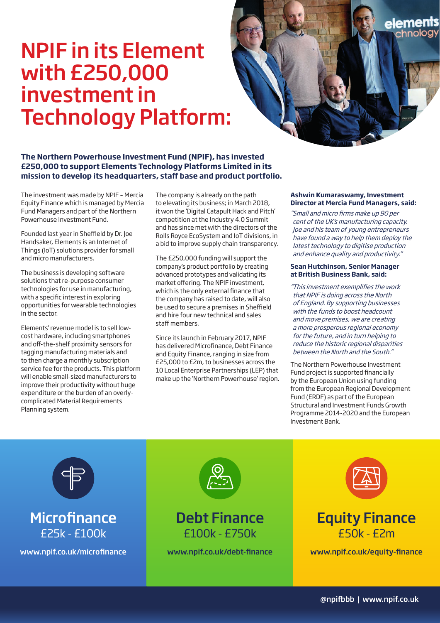## NPIF in its Element with £250,000 investment in Technology Platform:



The investment was made by NPIF – Mercia Equity Finance which is managed by Mercia Fund Managers and part of the Northern Powerhouse Investment Fund.

Founded last year in Sheffield by Dr. Joe Handsaker, Elements is an Internet of Things (IoT) solutions provider for small and micro manufacturers.

The business is developing software solutions that re-purpose consumer technologies for use in manufacturing, with a specific interest in exploring opportunities for wearable technologies in the sector.

Elements' revenue model is to sell lowcost hardware, including smartphones and off-the-shelf proximity sensors for tagging manufacturing materials and to then charge a monthly subscription service fee for the products. This platform will enable small-sized manufacturers to improve their productivity without huge expenditure or the burden of an overlycomplicated Material Requirements Planning system.

The company is already on the path to elevating its business; in March 2018, it won the 'Digital Catapult Hack and Pitch' competition at the Industry 4.0 Summit and has since met with the directors of the Rolls Royce EcoSystem and IoT divisions, in a bid to improve supply chain transparency.

The £250,000 funding will support the company's product portfolio by creating advanced prototypes and validating its market offering. The NPIF investment, which is the only external finance that the company has raised to date, will also be used to secure a premises in Sheffield and hire four new technical and sales staff members.

Since its launch in February 2017, NPIF has delivered Microfinance, Debt Finance and Equity Finance, ranging in size from £25,000 to £2m, to businesses across the 10 Local Enterprise Partnerships (LEP) that make up the 'Northern Powerhouse' region.

#### **Ashwin Kumaraswamy, Investment Director at Mercia Fund Managers, said:**

eleme

"Small and micro firms make up 90 per cent of the UK's manufacturing capacity. Joe and his team of young entrepreneurs have found a way to help them deploy the latest technology to digitise production and enhance quality and productivity."

#### **Sean Hutchinson, Senior Manager at British Business Bank, said:**

"This investment exemplifies the work that NPIF is doing across the North of England. By supporting businesses with the funds to boost headcount and move premises, we are creating a more prosperous regional economy for the future, and in turn helping to reduce the historic regional disparities between the North and the South."

The Northern Powerhouse Investment Fund project is supported financially by the European Union using funding from the European Regional Development Fund (ERDF) as part of the European Structural and Investment Funds Growth Programme 2014-2020 and the European Investment Bank.



## **Microfinance** £25k - £100k



## Debt Finance £100k - £750k





www.npif.co.uk/microfinance www.npif.co.uk/debt-finance www.npif.co.uk/equity-finance